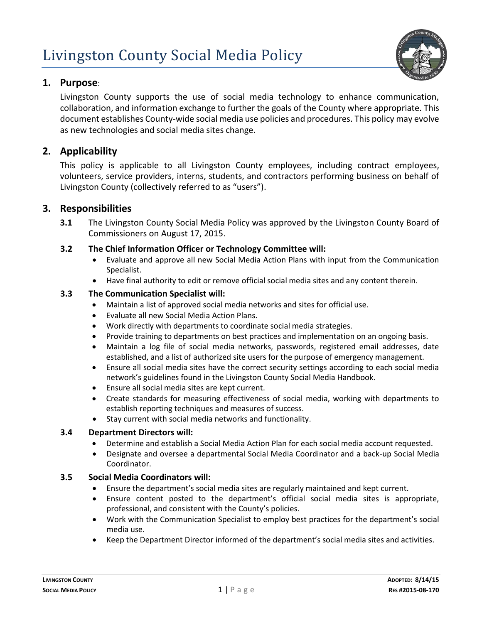

# **1. Purpose**:

Livingston County supports the use of social media technology to enhance communication, collaboration, and information exchange to further the goals of the County where appropriate. This document establishes County-wide social media use policies and procedures. This policy may evolve as new technologies and social media sites change.

## **2. Applicability**

This policy is applicable to all Livingston County employees, including contract employees, volunteers, service providers, interns, students, and contractors performing business on behalf of Livingston County (collectively referred to as "users").

## **3. Responsibilities**

**3.1** The Livingston County Social Media Policy was approved by the Livingston County Board of Commissioners on August 17, 2015.

### **3.2 The Chief Information Officer or Technology Committee will:**

- Evaluate and approve all new Social Media Action Plans with input from the Communication Specialist.
- Have final authority to edit or remove official social media sites and any content therein.

### **3.3 The Communication Specialist will:**

- Maintain a list of approved social media networks and sites for official use.
- Evaluate all new Social Media Action Plans.
- Work directly with departments to coordinate social media strategies.
- Provide training to departments on best practices and implementation on an ongoing basis.
- Maintain a log file of social media networks, passwords, registered email addresses, date established, and a list of authorized site users for the purpose of emergency management.
- Ensure all social media sites have the correct security settings according to each social media network's guidelines found in the Livingston County Social Media Handbook.
- Ensure all social media sites are kept current.
- Create standards for measuring effectiveness of social media, working with departments to establish reporting techniques and measures of success.
- Stay current with social media networks and functionality.

#### **3.4 Department Directors will:**

- Determine and establish a Social Media Action Plan for each social media account requested.
- Designate and oversee a departmental Social Media Coordinator and a back-up Social Media Coordinator.

#### **3.5 Social Media Coordinators will:**

- Ensure the department's social media sites are regularly maintained and kept current.
- Ensure content posted to the department's official social media sites is appropriate, professional, and consistent with the County's policies.
- Work with the Communication Specialist to employ best practices for the department's social media use.
- Keep the Department Director informed of the department's social media sites and activities.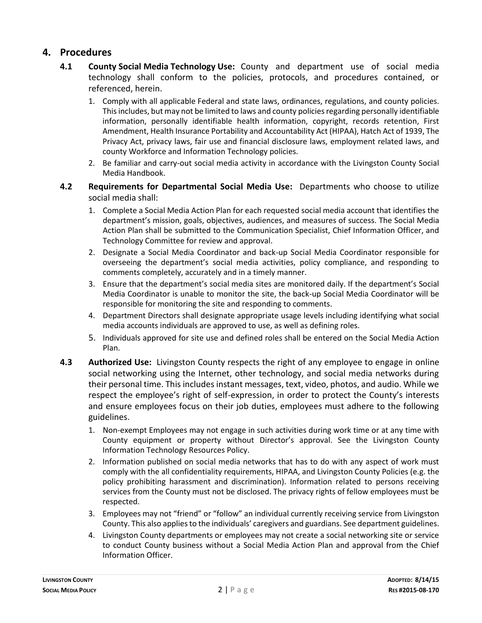# **4. Procedures**

- **4.1 County Social Media Technology Use:** County and department use of social media technology shall conform to the policies, protocols, and procedures contained, or referenced, herein.
	- 1. Comply with all applicable Federal and state laws, ordinances, regulations, and county policies. This includes, but may not be limited to laws and county policies regarding personally identifiable information, personally identifiable health information, copyright, records retention, First Amendment, Health Insurance Portability and Accountability Act (HIPAA), Hatch Act of 1939, The Privacy Act, privacy laws, fair use and financial disclosure laws, employment related laws, and county Workforce and Information Technology policies.
	- 2. Be familiar and carry-out social media activity in accordance with the Livingston County Social Media Handbook.
- **4.2 Requirements for Departmental Social Media Use:** Departments who choose to utilize social media shall:
	- 1. Complete a Social Media Action Plan for each requested social media account that identifies the department's mission, goals, objectives, audiences, and measures of success. The Social Media Action Plan shall be submitted to the Communication Specialist, Chief Information Officer, and Technology Committee for review and approval.
	- 2. Designate a Social Media Coordinator and back-up Social Media Coordinator responsible for overseeing the department's social media activities, policy compliance, and responding to comments completely, accurately and in a timely manner.
	- 3. Ensure that the department's social media sites are monitored daily. If the department's Social Media Coordinator is unable to monitor the site, the back-up Social Media Coordinator will be responsible for monitoring the site and responding to comments.
	- 4. Department Directors shall designate appropriate usage levels including identifying what social media accounts individuals are approved to use, as well as defining roles.
	- 5. Individuals approved for site use and defined roles shall be entered on the Social Media Action Plan.
- **4.3 Authorized Use:** Livingston County respects the right of any employee to engage in online social networking using the Internet, other technology, and social media networks during their personal time. This includes instant messages, text, video, photos, and audio. While we respect the employee's right of self-expression, in order to protect the County's interests and ensure employees focus on their job duties, employees must adhere to the following guidelines.
	- 1. Non-exempt Employees may not engage in such activities during work time or at any time with County equipment or property without Director's approval. See the Livingston County Information Technology Resources Policy.
	- 2. Information published on social media networks that has to do with any aspect of work must comply with the all confidentiality requirements, HIPAA, and Livingston County Policies (e.g. the policy prohibiting harassment and discrimination). Information related to persons receiving services from the County must not be disclosed. The privacy rights of fellow employees must be respected.
	- 3. Employees may not "friend" or "follow" an individual currently receiving service from Livingston County. This also applies to the individuals' caregivers and guardians. See department guidelines.
	- 4. Livingston County departments or employees may not create a social networking site or service to conduct County business without a Social Media Action Plan and approval from the Chief Information Officer.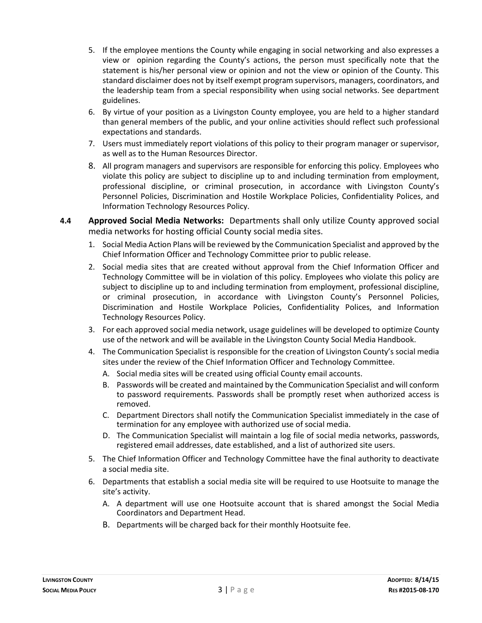- 5. If the employee mentions the County while engaging in social networking and also expresses a view or opinion regarding the County's actions, the person must specifically note that the statement is his/her personal view or opinion and not the view or opinion of the County. This standard disclaimer does not by itself exempt program supervisors, managers, coordinators, and the leadership team from a special responsibility when using social networks. See department guidelines.
- 6. By virtue of your position as a Livingston County employee, you are held to a higher standard than general members of the public, and your online activities should reflect such professional expectations and standards.
- 7. Users must immediately report violations of this policy to their program manager or supervisor, as well as to the Human Resources Director.
- 8. All program managers and supervisors are responsible for enforcing this policy. Employees who violate this policy are subject to discipline up to and including termination from employment, professional discipline, or criminal prosecution, in accordance with Livingston County's Personnel Policies, Discrimination and Hostile Workplace Policies, Confidentiality Polices, and Information Technology Resources Policy.
- **4.4 Approved Social Media Networks:** Departments shall only utilize County approved social media networks for hosting official County social media sites.
	- 1. Social Media Action Plans will be reviewed by the Communication Specialist and approved by the Chief Information Officer and Technology Committee prior to public release.
	- 2. Social media sites that are created without approval from the Chief Information Officer and Technology Committee will be in violation of this policy. Employees who violate this policy are subject to discipline up to and including termination from employment, professional discipline, or criminal prosecution, in accordance with Livingston County's Personnel Policies, Discrimination and Hostile Workplace Policies, Confidentiality Polices, and Information Technology Resources Policy.
	- 3. For each approved social media network, usage guidelines will be developed to optimize County use of the network and will be available in the Livingston County Social Media Handbook.
	- 4. The Communication Specialist is responsible for the creation of Livingston County's social media sites under the review of the Chief Information Officer and Technology Committee.
		- A. Social media sites will be created using official County email accounts.
		- B. Passwords will be created and maintained by the Communication Specialist and will conform to password requirements. Passwords shall be promptly reset when authorized access is removed.
		- C. Department Directors shall notify the Communication Specialist immediately in the case of termination for any employee with authorized use of social media.
		- D. The Communication Specialist will maintain a log file of social media networks, passwords, registered email addresses, date established, and a list of authorized site users.
	- 5. The Chief Information Officer and Technology Committee have the final authority to deactivate a social media site.
	- 6. Departments that establish a social media site will be required to use Hootsuite to manage the site's activity.
		- A. A department will use one Hootsuite account that is shared amongst the Social Media Coordinators and Department Head.
		- B. Departments will be charged back for their monthly Hootsuite fee.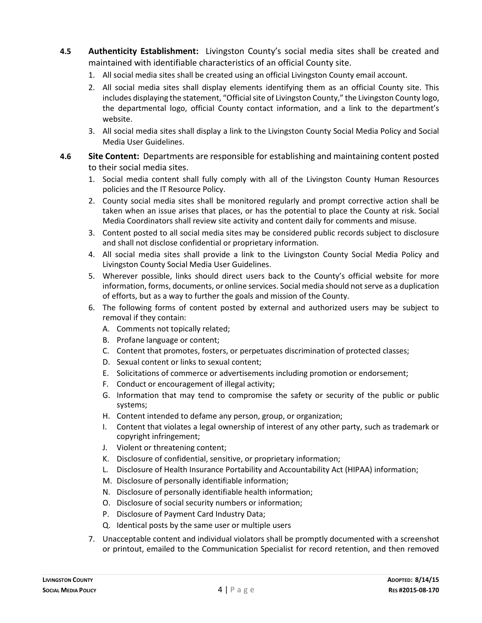- **4.5 Authenticity Establishment:** Livingston County's social media sites shall be created and maintained with identifiable characteristics of an official County site.
	- 1. All social media sites shall be created using an official Livingston County email account.
	- 2. All social media sites shall display elements identifying them as an official County site. This includes displaying the statement, "Official site of Livingston County," the Livingston County logo, the departmental logo, official County contact information, and a link to the department's website.
	- 3. All social media sites shall display a link to the Livingston County Social Media Policy and Social Media User Guidelines.
- **4.6 Site Content:** Departments are responsible for establishing and maintaining content posted to their social media sites.
	- 1. Social media content shall fully comply with all of the Livingston County Human Resources policies and the IT Resource Policy.
	- 2. County social media sites shall be monitored regularly and prompt corrective action shall be taken when an issue arises that places, or has the potential to place the County at risk. Social Media Coordinators shall review site activity and content daily for comments and misuse.
	- 3. Content posted to all social media sites may be considered public records subject to disclosure and shall not disclose confidential or proprietary information.
	- 4. All social media sites shall provide a link to the Livingston County Social Media Policy and Livingston County Social Media User Guidelines.
	- 5. Wherever possible, links should direct users back to the County's official website for more information, forms, documents, or online services. Social media should not serve as a duplication of efforts, but as a way to further the goals and mission of the County.
	- 6. The following forms of content posted by external and authorized users may be subject to removal if they contain:
		- A. Comments not topically related;
		- B. Profane language or content;
		- C. Content that promotes, fosters, or perpetuates discrimination of protected classes;
		- D. Sexual content or links to sexual content;
		- E. Solicitations of commerce or advertisements including promotion or endorsement;
		- F. Conduct or encouragement of illegal activity;
		- G. Information that may tend to compromise the safety or security of the public or public systems;
		- H. Content intended to defame any person, group, or organization;
		- I. Content that violates a legal ownership of interest of any other party, such as trademark or copyright infringement;
		- J. Violent or threatening content;
		- K. Disclosure of confidential, sensitive, or proprietary information;
		- L. Disclosure of Health Insurance Portability and Accountability Act (HIPAA) information;
		- M. Disclosure of personally identifiable information;
		- N. Disclosure of personally identifiable health information;
		- O. Disclosure of social security numbers or information;
		- P. Disclosure of Payment Card Industry Data;
		- Q. Identical posts by the same user or multiple users
	- 7. Unacceptable content and individual violators shall be promptly documented with a screenshot or printout, emailed to the Communication Specialist for record retention, and then removed